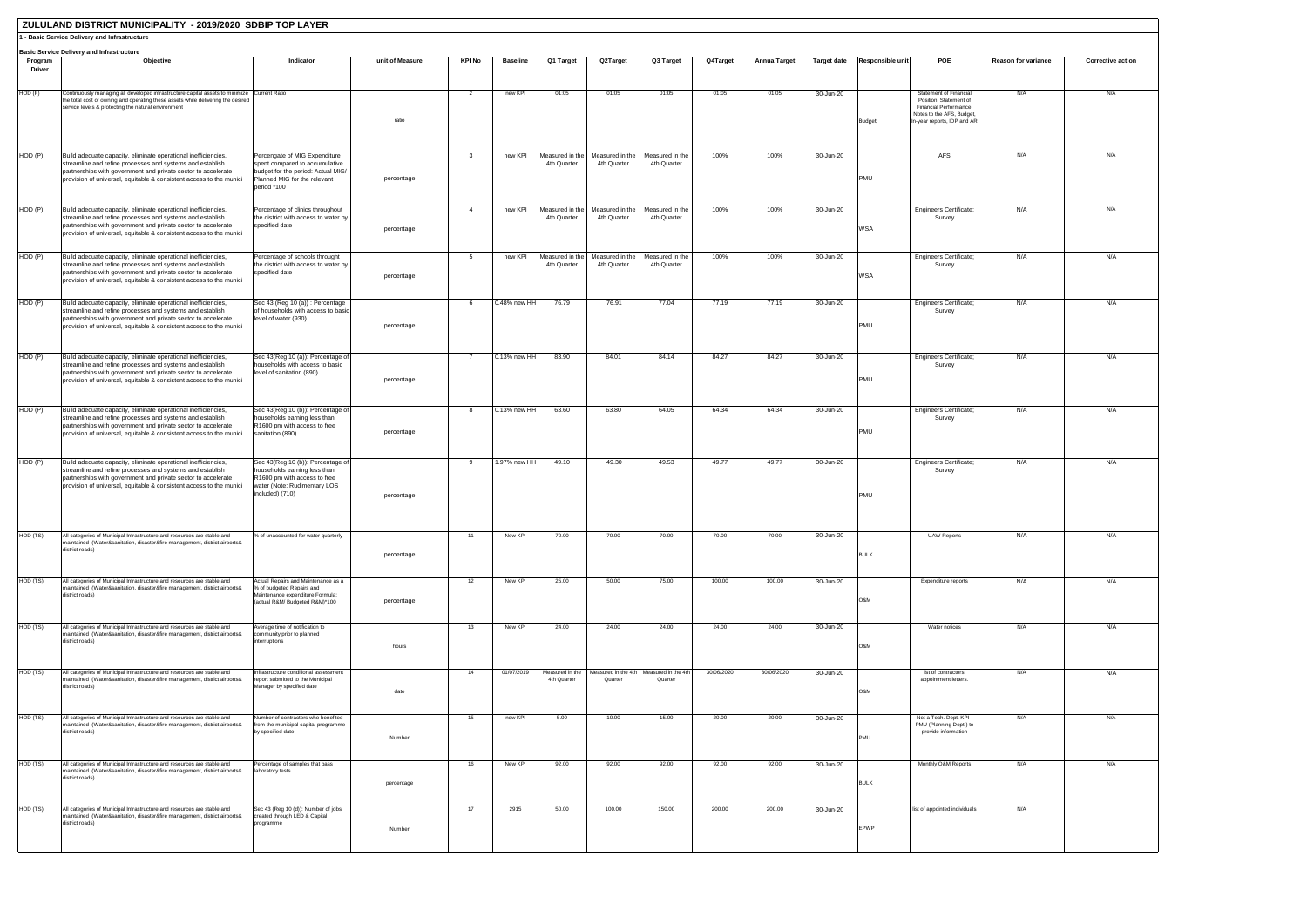|                   | ZULULAND DISTRICT MUNICIPALITY - 2019/2020 SDBIP TOP LAYER                                                                                                                                                                                                          |                                                                                                                                                      |                 |                |                 |                                |                                |                                |            |              |                    |                  |                                                                                                                                        |                            |                          |
|-------------------|---------------------------------------------------------------------------------------------------------------------------------------------------------------------------------------------------------------------------------------------------------------------|------------------------------------------------------------------------------------------------------------------------------------------------------|-----------------|----------------|-----------------|--------------------------------|--------------------------------|--------------------------------|------------|--------------|--------------------|------------------|----------------------------------------------------------------------------------------------------------------------------------------|----------------------------|--------------------------|
|                   | 1 - Basic Service Delivery and Infrastructure                                                                                                                                                                                                                       |                                                                                                                                                      |                 |                |                 |                                |                                |                                |            |              |                    |                  |                                                                                                                                        |                            |                          |
|                   | <b>Basic Service Delivery and Infrastructure</b><br>Objective                                                                                                                                                                                                       | Indicator                                                                                                                                            | unit of Measure | KPI No         | <b>Baseline</b> |                                | Q2Target                       |                                |            |              |                    | Responsible unit | POE                                                                                                                                    | <b>Reason for variance</b> |                          |
| Program<br>Driver |                                                                                                                                                                                                                                                                     |                                                                                                                                                      |                 |                |                 | Q1 Target                      |                                | Q3 Target                      | Q4Target   | AnnualTarget | <b>Target date</b> |                  |                                                                                                                                        |                            | <b>Corrective action</b> |
| HOD (F)           | Continuously managing all developed infrastructure capital assets to minimize<br>the total cost of owning and operating these assets while delivering the desired<br>service levels & protecting the natural environment                                            | <b>Current Ratio</b>                                                                                                                                 | ratio           | 2              | new KPI         | 01:05                          | 01:05                          | 01:05                          | 01:05      | 01:05        | 30-Jun-20          | <b>Budget</b>    | Statement of Financial<br>Position, Statement of<br>Financial Performance,<br>Notes to the AFS, Budget,<br>In-year reports, IDP and AR | N/A                        | N/A                      |
|                   |                                                                                                                                                                                                                                                                     |                                                                                                                                                      |                 |                |                 |                                | Measured in the                |                                |            |              |                    |                  | <b>AFS</b>                                                                                                                             | N/A                        | N/A                      |
| HOD (P)           | Build adequate capacity, eliminate operational inefficiencies,<br>streamline and refine processes and systems and establish<br>partnerships with government and private sector to accelerate<br>provision of universal, equitable & consistent access to the munici | Percengate of MIG Expenditure<br>spent compared to accumulative<br>budget for the period: Actual MIG/<br>Planned MIG for the relevant<br>period *100 | percentage      | -3             | new KPI         | Measured in the<br>4th Quarter | 4th Quarter                    | Measured in the<br>4th Quarter | 100%       | 100%         | 30-Jun-20          | PMU              |                                                                                                                                        |                            |                          |
| HOD (P)           | Build adequate capacity, eliminate operational inefficiencies,                                                                                                                                                                                                      | Percentage of clinics throughout                                                                                                                     |                 | $\overline{4}$ | new KPI         | Measured in the                | Measured in the                | Measured in the                | 100%       | 100%         | 30-Jun-20          |                  | <b>Engineers Certificate;</b>                                                                                                          | N/A                        | N/A                      |
|                   | streamline and refine processes and systems and establish<br>partnerships with government and private sector to accelerate<br>provision of universal, equitable & consistent access to the munici                                                                   | the district with access to water by<br>specified date                                                                                               | percentage      |                |                 | 4th Quarter                    | 4th Quarter                    | 4th Quarter                    |            |              |                    | WSA              | Survey                                                                                                                                 |                            |                          |
| HOD (P)           | Build adequate capacity, eliminate operational inefficiencies,<br>streamline and refine processes and systems and establish<br>partnerships with government and private sector to accelerate<br>provision of universal, equitable & consistent access to the munici | Percentage of schools throught<br>the district with access to water by<br>specified date                                                             | percentage      | 5              | new KPI         | Measured in the<br>4th Quarter | Measured in the<br>4th Quarter | Measured in the<br>4th Quarter | 100%       | 100%         | 30-Jun-20          | <b>WSA</b>       | <b>Engineers Certificate;</b><br>Survey                                                                                                | N/A                        | N/A                      |
| HOD (P)           | Build adequate capacity, eliminate operational inefficiencies,<br>streamline and refine processes and systems and establish<br>partnerships with government and private sector to accelerate<br>provision of universal, equitable & consistent access to the munici | Sec 43 (Reg 10 (a)) : Percentage<br>of households with access to basic<br>level of water (930)                                                       | percentage      | -6             | 0.48% new HH    | 76.79                          | 76.91                          | 77.04                          | 77.19      | 77.19        | 30-Jun-20          | PMU              | <b>Engineers Certificate;</b><br>Survey                                                                                                | N/A                        | N/A                      |
| HOD (P)           | Build adequate capacity, eliminate operational inefficiencies,<br>streamline and refine processes and systems and establish<br>partnerships with government and private sector to accelerate<br>provision of universal, equitable & consistent access to the munici | Sec 43(Reg 10 (a)): Percentage of<br>households with access to basic<br>level of sanitation (890)                                                    | percentage      | $\overline{7}$ | 0.13% new HH    | 83.90                          | 84.01                          | 84.14                          | 84.27      | 84.27        | 30-Jun-20          | PMU              | <b>Engineers Certificate;</b><br>Survey                                                                                                | N/A                        | N/A                      |
| HOD(P)            | Build adequate capacity, eliminate operational inefficiencies,<br>streamline and refine processes and systems and establish<br>partnerships with government and private sector to accelerate<br>provision of universal, equitable & consistent access to the munici | Sec 43(Reg 10 (b)): Percentage of<br>households earning less than<br>R1600 pm with access to free<br>sanitation (890)                                | percentage      |                | 0.13% new HH    | 63.60                          | 63.80                          | 64.05                          | 64.34      | 64.34        | 30-Jun-20          | PMU              | Engineers Certificate;<br>Survey                                                                                                       | N/A                        | N/A                      |
| HOD (P)           | Build adequate capacity, eliminate operational inefficiencies,<br>streamline and refine processes and systems and establish<br>partnerships with government and private sector to accelerate<br>provision of universal, equitable & consistent access to the munici | Sec 43(Reg 10 (b)): Percentage of<br>households earning less than<br>R1600 pm with access to free<br>water (Note: Rudimentary LOS<br>included) (710) | percentage      |                | 1.97% new HH    | 49.10                          | 49.30                          | 49.53                          | 49.77      | 49.77        | 30-Jun-20          | PMU              | <b>Engineers Certificate;</b><br>Survey                                                                                                | N/A                        | N/A                      |
| HOD (TS)          | All categories of Municipal Infrastructure and resources are stable and<br>maintained (Water&sanitation, disaster&fire management, district airports&<br>district roads)                                                                                            | % of unaccounted for water quarterly                                                                                                                 | percentage      | 11             | New KPI         | 70.00                          | 70.00                          | 70.00                          | 70.00      | 70.00        | 30-Jun-20          | <b>BULK</b>      | <b>UAW Reports</b>                                                                                                                     | N/A                        | N/A                      |
| HOD (TS)          | All categories of Municipal Infrastructure and resources are stable and<br>maintained (Water&sanitation, disaster&fire management, district airports&<br>district roads)                                                                                            | Actual Repairs and Maintenance as a<br>% of budgeted Repairs and<br>Maintenance expenditure Formula:<br>(actual R&M/ Budgeted R&M)*100               | percentage      | 12             | New KPI         | 25.00                          | 50.00                          | 75.00                          | 100.00     | 100.00       | 30-Jun-20          | O&M              | Expenditure reports                                                                                                                    | N/A                        | N/A                      |
| HOD (TS)          | All categories of Municipal Infrastructure and resources are stable and<br>maintained (Water&sanitation, disaster&fire management, district airports&<br>district roads)                                                                                            | verage time of notification to<br>community prior to planned<br>interruptions                                                                        | hours           | 13             | New KPI         | 24.00                          | 24.00                          | 24.00                          | 24.00      | 24.00        | 30-Jun-20          | O&M              | Water notices                                                                                                                          | N/A                        | N/A                      |
| HOD (TS)          | All categories of Municipal Infrastructure and resources are stable and<br>maintained (Water&sanitation, disaster&fire management, district airports&<br>district roads)                                                                                            | nfrastructure conditional assessment<br>report submitted to the Municipal<br>Manager by specified date                                               | date            | 14             | 01/07/2019      | Measured in the<br>4th Quarter | Measured in the 4th<br>Quarter | Measured in the 4th<br>Quarter | 30/06/2020 | 30/06/2020   | 30-Jun-20          | O&M              | list of contractors,<br>appointment letters.                                                                                           | N/A                        | N/A                      |
| HOD (TS)          | All categories of Municipal Infrastructure and resources are stable and<br>maintained (Water&sanitation, disaster&fire management, district airports&<br>district roads)                                                                                            | Number of contractors who benefited<br>from the municipal capital programme<br>by specified date                                                     | Number          | 15             | new KPI         | 5.00                           | 10.00                          | 15.00                          | 20.00      | 20.00        | 30-Jun-20          | PMU              | Not a Tech. Dept. KPI -<br>PMU (Planning Dept.) to<br>provide information                                                              | N/A                        | N/A                      |
| HOD (TS)          | All categories of Municipal Infrastructure and resources are stable and<br>maintained (Water&sanitation, disaster&fire management, district airports&<br>district roads)                                                                                            | ercentage of samples that pass<br>laboratory tests                                                                                                   | percentage      | 16             | New KPI         | 92.00                          | 92.00                          | 92.00                          | 92.00      | 92.00        | 30-Jun-20          | <b>BULK</b>      | Monthly O&M Reports                                                                                                                    | N/A                        | N/A                      |
| HOD (TS)          | All categories of Municipal Infrastructure and resources are stable and<br>maintained (Water&sanitation, disaster&fire management, district airports&<br>district roads)                                                                                            | Sec 43 (Reg 10 (d)): Number of jobs<br>created through LED & Capital<br>programme                                                                    | Number          | 17             | 2915            | 50.00                          | 100.00                         | 150.00                         | 200.00     | 200.00       | 30-Jun-20          | EPWP             | list of appointed individuals                                                                                                          | N/A                        |                          |
|                   |                                                                                                                                                                                                                                                                     |                                                                                                                                                      |                 |                |                 |                                |                                |                                |            |              |                    |                  |                                                                                                                                        |                            |                          |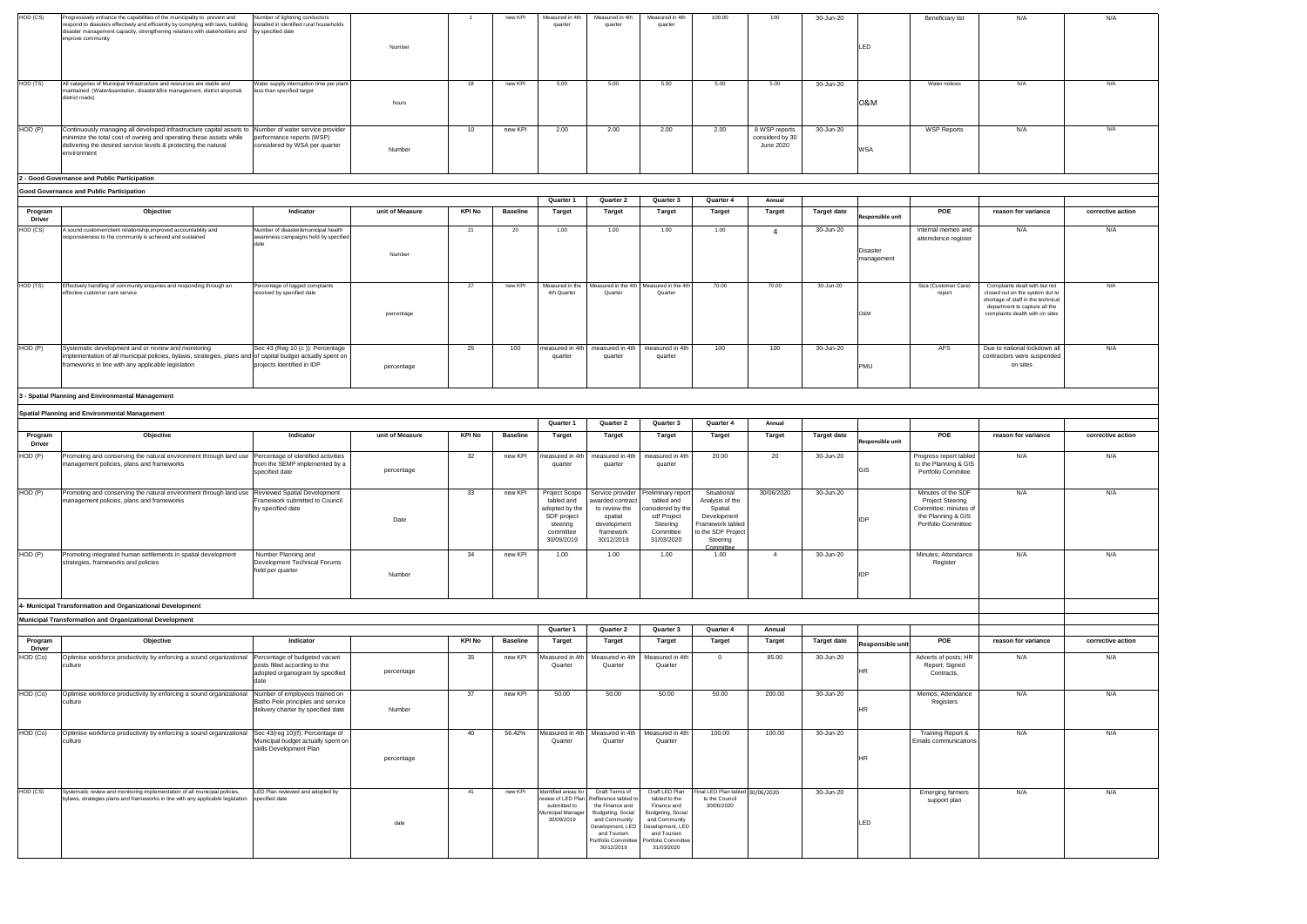|                          |                                                                                                                                                                                                                          |                                                                              |                 |        |                 | Quarter 1                      | Quarter 2                                          | Quarter 3                  | Quarter 4 | Annual        |                    |                        |                                           |  |
|--------------------------|--------------------------------------------------------------------------------------------------------------------------------------------------------------------------------------------------------------------------|------------------------------------------------------------------------------|-----------------|--------|-----------------|--------------------------------|----------------------------------------------------|----------------------------|-----------|---------------|--------------------|------------------------|-------------------------------------------|--|
| Program<br><b>Driver</b> | Objective                                                                                                                                                                                                                | Indicator                                                                    | unit of Measure | KPI No | <b>Baseline</b> | Target                         | <b>Target</b>                                      | <b>Target</b>              | Target    | <b>Target</b> | <b>Target date</b> | Responsible unit       | POE                                       |  |
| HOD (CS)                 | A sound customer/client relationship, improved accountability and<br>responsiveness to the community is achieved and sustained                                                                                           | Number of disaster&municipal health<br>awareness campaigns held by specified | Number          | 21     | 20              | 1.00                           | 1.00                                               | 1.00                       | 1.00      |               | 30-Jun-20          | Disaster<br>management | Internal memeo and<br>attemdence register |  |
| HOD (TS)                 | Effectively handling of community enquiries and responding through an<br>effective customer care service                                                                                                                 | Percentage of logged complaints<br>resolved by specified date                | percentage      | 27     | new KPI         | Measured in the<br>4th Quarter | Measured in the 4th Measured in the 4th<br>Quarter | Quarter                    | 70.00     | 70.00         | 30-Jun-20          | O&M                    | Siza (Customer Care)<br>report            |  |
| HOD (P)                  | Systematic development and or review and monitoring<br>implementation of all municipal policies, bylaws, strategies, plans and of capital budget actually spent on<br>frameworks in line with any applicable legislation | Sec 43 (Reg 10 (c)): Percentage<br>projects identified in IDP                | percentage      | 25     | 100             | measured in 4th<br>quarter     | measured in 4th<br>quarter                         | measured in 4th<br>quarter | 100       | 100           | 30-Jun-20          | <b>PMU</b>             | <b>AFS</b>                                |  |

| Beneficiary list                     | N/A                                                                   | N/A               |  |  |  |  |  |  |  |
|--------------------------------------|-----------------------------------------------------------------------|-------------------|--|--|--|--|--|--|--|
|                                      |                                                                       |                   |  |  |  |  |  |  |  |
|                                      |                                                                       |                   |  |  |  |  |  |  |  |
|                                      |                                                                       |                   |  |  |  |  |  |  |  |
|                                      |                                                                       |                   |  |  |  |  |  |  |  |
|                                      |                                                                       |                   |  |  |  |  |  |  |  |
|                                      |                                                                       |                   |  |  |  |  |  |  |  |
| Water notices                        | N/A                                                                   | N/A               |  |  |  |  |  |  |  |
|                                      |                                                                       |                   |  |  |  |  |  |  |  |
|                                      |                                                                       |                   |  |  |  |  |  |  |  |
|                                      |                                                                       |                   |  |  |  |  |  |  |  |
| <b>WSP Reports</b>                   | N/A                                                                   | N/A               |  |  |  |  |  |  |  |
|                                      |                                                                       |                   |  |  |  |  |  |  |  |
|                                      |                                                                       |                   |  |  |  |  |  |  |  |
|                                      |                                                                       |                   |  |  |  |  |  |  |  |
|                                      |                                                                       |                   |  |  |  |  |  |  |  |
|                                      |                                                                       |                   |  |  |  |  |  |  |  |
|                                      |                                                                       |                   |  |  |  |  |  |  |  |
|                                      |                                                                       |                   |  |  |  |  |  |  |  |
| POE                                  | reason for variance                                                   | corrective action |  |  |  |  |  |  |  |
|                                      |                                                                       |                   |  |  |  |  |  |  |  |
| ernal memeo and<br>emdence register  | N/A                                                                   | N/A               |  |  |  |  |  |  |  |
|                                      |                                                                       |                   |  |  |  |  |  |  |  |
|                                      |                                                                       |                   |  |  |  |  |  |  |  |
|                                      |                                                                       |                   |  |  |  |  |  |  |  |
|                                      |                                                                       |                   |  |  |  |  |  |  |  |
| a (Customer Care)                    | Complaints dealt with but not                                         | N/A               |  |  |  |  |  |  |  |
| report                               | closed out on the system dut to<br>shortage of staff in the technical |                   |  |  |  |  |  |  |  |
|                                      | department to capture all the                                         |                   |  |  |  |  |  |  |  |
|                                      | complaints dealth with on sites                                       |                   |  |  |  |  |  |  |  |
|                                      |                                                                       |                   |  |  |  |  |  |  |  |
|                                      |                                                                       |                   |  |  |  |  |  |  |  |
| <b>AFS</b>                           | Due to national lockdown all                                          | N/A               |  |  |  |  |  |  |  |
|                                      | contractors were suspended<br>on sites                                |                   |  |  |  |  |  |  |  |
|                                      |                                                                       |                   |  |  |  |  |  |  |  |
|                                      |                                                                       |                   |  |  |  |  |  |  |  |
|                                      |                                                                       |                   |  |  |  |  |  |  |  |
|                                      |                                                                       |                   |  |  |  |  |  |  |  |
|                                      |                                                                       |                   |  |  |  |  |  |  |  |
|                                      |                                                                       |                   |  |  |  |  |  |  |  |
| POE                                  | reason for variance                                                   | corrective action |  |  |  |  |  |  |  |
|                                      |                                                                       |                   |  |  |  |  |  |  |  |
| gress report tabled                  | N/A                                                                   | N/A               |  |  |  |  |  |  |  |
|                                      |                                                                       |                   |  |  |  |  |  |  |  |
| he Planning & GIS                    |                                                                       |                   |  |  |  |  |  |  |  |
| ortfolio Commitee                    |                                                                       |                   |  |  |  |  |  |  |  |
|                                      |                                                                       |                   |  |  |  |  |  |  |  |
| nutes of the SDF<br>Project Steering | N/A                                                                   | N/A               |  |  |  |  |  |  |  |
| nmittee; minutes of                  |                                                                       |                   |  |  |  |  |  |  |  |
| e Planning & GIS                     |                                                                       |                   |  |  |  |  |  |  |  |
| ortfolio Committee                   |                                                                       |                   |  |  |  |  |  |  |  |
|                                      |                                                                       |                   |  |  |  |  |  |  |  |
|                                      |                                                                       |                   |  |  |  |  |  |  |  |
| nutes; Attendance<br>Register        | N/A                                                                   | N/A               |  |  |  |  |  |  |  |
|                                      |                                                                       |                   |  |  |  |  |  |  |  |
|                                      |                                                                       |                   |  |  |  |  |  |  |  |
|                                      |                                                                       |                   |  |  |  |  |  |  |  |
|                                      |                                                                       |                   |  |  |  |  |  |  |  |
|                                      |                                                                       |                   |  |  |  |  |  |  |  |
|                                      |                                                                       |                   |  |  |  |  |  |  |  |
|                                      |                                                                       |                   |  |  |  |  |  |  |  |
| POE                                  | reason for variance                                                   | corrective action |  |  |  |  |  |  |  |
| verts of posts; HR                   | N/A                                                                   | N/A               |  |  |  |  |  |  |  |
| Report; Signed                       |                                                                       |                   |  |  |  |  |  |  |  |
| Contracts.                           |                                                                       |                   |  |  |  |  |  |  |  |
|                                      |                                                                       |                   |  |  |  |  |  |  |  |
| emos, Attendance<br>Registers        | N/A                                                                   | N/A               |  |  |  |  |  |  |  |
|                                      |                                                                       |                   |  |  |  |  |  |  |  |
|                                      |                                                                       |                   |  |  |  |  |  |  |  |
| raining Report &                     | N/A                                                                   | N/A               |  |  |  |  |  |  |  |
| ils communications                   |                                                                       |                   |  |  |  |  |  |  |  |
|                                      |                                                                       |                   |  |  |  |  |  |  |  |
|                                      |                                                                       |                   |  |  |  |  |  |  |  |
|                                      |                                                                       |                   |  |  |  |  |  |  |  |
|                                      |                                                                       |                   |  |  |  |  |  |  |  |
| merging farmers                      | N/A                                                                   | N/A               |  |  |  |  |  |  |  |
| support plan                         |                                                                       |                   |  |  |  |  |  |  |  |
|                                      |                                                                       |                   |  |  |  |  |  |  |  |
|                                      |                                                                       |                   |  |  |  |  |  |  |  |
|                                      |                                                                       |                   |  |  |  |  |  |  |  |
|                                      |                                                                       |                   |  |  |  |  |  |  |  |

| HOD (CS) | Progressively enhance the capabilities of the municipality to prevent and<br>respond to disasters effectively and efficiently by complying with laws, building installed in identified rural households<br>disaster management capacity, strengthening relations with stakeholders and by specified date<br>improve community | Number of lightning conductors                                         |        |    | new KPI | Measured in 4th<br>quarter | Measured in 4th<br>quarter | Measured in 4th<br>quarter | 100.00 | 100                                           | 30-Jun-20 |     | Beneficiary list   | N/A |
|----------|-------------------------------------------------------------------------------------------------------------------------------------------------------------------------------------------------------------------------------------------------------------------------------------------------------------------------------|------------------------------------------------------------------------|--------|----|---------|----------------------------|----------------------------|----------------------------|--------|-----------------------------------------------|-----------|-----|--------------------|-----|
|          |                                                                                                                                                                                                                                                                                                                               |                                                                        | Number |    |         |                            |                            |                            |        |                                               |           | LED |                    |     |
| HOD (TS) | All categories of Municipal Infrastructure and resources are stable and<br>maintained (Water&sanitation, disaster&fire management, district airports&<br>district roads)                                                                                                                                                      | Water supply interruption time per plant<br>less than specified target | hours  | 18 | new KPI | 5.00                       | 5.00                       | 5.00                       | 5.00   | 5.00                                          | 30-Jun-20 | 0&M | Water notices      | N/A |
| HOD (P)  | Continuously managing all developed infrastructure capital assets to Number of water service provider<br>minimize the total cost of owning and operating these assets while<br>delivering the desired service levels & protecting the natural<br>environment                                                                  | performance reports (WSP)<br>considered by WSA per quarter             | Number | 10 | new KPI | 2.00                       | 2.00                       | 2.00                       | 2.00   | 8 WSP reports<br>considerd by 30<br>June 2020 | 30-Jun-20 | WSA | <b>WSP Reports</b> | N/A |
|          | 2 - Good Governance and Public Participation                                                                                                                                                                                                                                                                                  |                                                                        |        |    |         |                            |                            |                            |        |                                               |           |     |                    |     |

|                          |                                                                                                                |                                                                                            |                 |               |                 | Quarter 1                                                                                           | Quarter 2                                                                                                  | Quarter 3                                                                                                  | Quarter 4                                                                                                                   | Annual        |                    |                  |                                                                                                                     |                 |
|--------------------------|----------------------------------------------------------------------------------------------------------------|--------------------------------------------------------------------------------------------|-----------------|---------------|-----------------|-----------------------------------------------------------------------------------------------------|------------------------------------------------------------------------------------------------------------|------------------------------------------------------------------------------------------------------------|-----------------------------------------------------------------------------------------------------------------------------|---------------|--------------------|------------------|---------------------------------------------------------------------------------------------------------------------|-----------------|
| Program<br><b>Driver</b> | Objective                                                                                                      | Indicator                                                                                  | unit of Measure | <b>KPI No</b> | <b>Baseline</b> | <b>Target</b>                                                                                       | Target                                                                                                     | Target                                                                                                     | Target                                                                                                                      | <b>Target</b> | <b>Target date</b> | Responsible unit | <b>POE</b>                                                                                                          | reason for vari |
| HOD (P)                  | Promoting and conserving the natural environment through land use<br>management policies, plans and frameworks | Percentage of identified activities<br>from the SEMP implemented by a<br>specified date    | percentage      | 32            | new KPI         | measured in 4th<br>quarter                                                                          | measured in 4th<br>quarter                                                                                 | measured in 4th<br>quarter                                                                                 | 20.00                                                                                                                       | 20            | 30-Jun-20          | GIS              | Progress report tabled<br>to the Planning & GIS<br>Portfolio Commitee                                               | N/A             |
| HOD(P)                   | Promoting and conserving the natural environment through land use<br>management policies, plans and frameworks | <b>Reviewed Spatial Development</b><br>Framework submitted to Council<br>by specified date | Date            | 33            | new KPI         | Project Scope<br>tabled and<br>adopted by the<br>SDF project<br>steering<br>committee<br>30/09/2019 | Service provider<br>awarded contract<br>to review the<br>spatial<br>development<br>framework<br>30/12/2019 | Preliminary report<br>tabled and<br>onsidered by the<br>sdf Project<br>Steering<br>Committee<br>31/03/2020 | Situational<br>Analysis of the<br>Spatial<br>Development<br>Framework tabled<br>to the SDF Project<br>Steering<br>Committee | 30/06/2020    | 30-Jun-20          | <b>IDP</b>       | Minutes of the SDF<br><b>Project Steering</b><br>Committee; minutes of<br>the Planning & GIS<br>Portfolio Committee | N/A             |
| HOD(P)                   | Promoting integrated human settlements in spatial development<br>strategies, frameworks and policies           | Number Planning and<br>Development Technical Forums<br>held per quarter                    | Number          | 34            | new KPI         | 1.00                                                                                                | 1.00                                                                                                       | 1.00                                                                                                       | 1.00                                                                                                                        |               | 30-Jun-20          | <b>IDP</b>       | Minutes: Attendance<br>Register                                                                                     | N/A             |

|                          |                                                                                                                                                               |                                                                                                           |            |        |                 | Quarter 1                                                              | Quarter 2                                                                                                                                                                                  | Quarter 3                                                                                                                                                    | Quarter 4                                                        | Annual        |                    |                  |                                                     |                     |                   |
|--------------------------|---------------------------------------------------------------------------------------------------------------------------------------------------------------|-----------------------------------------------------------------------------------------------------------|------------|--------|-----------------|------------------------------------------------------------------------|--------------------------------------------------------------------------------------------------------------------------------------------------------------------------------------------|--------------------------------------------------------------------------------------------------------------------------------------------------------------|------------------------------------------------------------------|---------------|--------------------|------------------|-----------------------------------------------------|---------------------|-------------------|
| Program<br><b>Driver</b> | Objective                                                                                                                                                     | Indicator                                                                                                 |            | KPI No | <b>Baseline</b> | <b>Target</b>                                                          | Target                                                                                                                                                                                     | Target                                                                                                                                                       | Target                                                           | <b>Target</b> | <b>Target date</b> | Responsible unit | POE                                                 | reason for variance | corrective action |
| HOD (Co)                 | Optimise workforce productivity by enforcing a sound organizational<br>culture                                                                                | Percentage of budgeted vacant<br>posts filled according to the<br>adopted organogram by specified         | percentage | 35     | new KPI         | Measured in 4th<br>Quarter                                             | Measured in 4th<br>Quarter                                                                                                                                                                 | Measured in 4th<br>Quarter                                                                                                                                   |                                                                  | 85.00         | 30-Jun-20          |                  | Adverts of posts; HR<br>Report; Signed<br>Contracts | N/A                 | N/A               |
| HOD (Co)                 | Optimise workforce productivity by enforcing a sound organizational<br>culture                                                                                | Number of employees trained on<br>Batho Pele principles and service<br>delivery charter by specified date | Number     | 37     | new KPI         | 50.00                                                                  | 50.00                                                                                                                                                                                      | 50.00                                                                                                                                                        | 50.00                                                            | 200.00        | 30-Jun-20          |                  | Memos, Attendance<br>Registers                      | N/A                 | N/A               |
| HOD (Co)                 | Optimise workforce productivity by enforcing a sound organizationa<br>culture                                                                                 | Sec 43(reg 10)(f): Percentage of<br>Municipal budget actually spent on<br>skills Development Plan         |            | 40     | 56.42%          | Measured in 4th<br>Quarter                                             | Measured in 4th<br>Quarter                                                                                                                                                                 | Measured in 4th<br>Quarter                                                                                                                                   | 100.00                                                           | 100.00        | 30-Jun-20          |                  | Training Report &<br>Emails communications          | N/A                 | N/A               |
|                          |                                                                                                                                                               |                                                                                                           | percentage |        |                 |                                                                        |                                                                                                                                                                                            |                                                                                                                                                              |                                                                  |               |                    |                  |                                                     |                     |                   |
| HOD (CS)                 | Systematic review and monitoring implementation of all municipal policies,<br>bylaws, strategies plans and frameworks in line with any applicable legislation | LED Plan reviewed and adopted by<br>specified date                                                        | date       | 41     | new KPI         | Identified areas for<br>submitted to<br>Municipal Manage<br>30/09/2019 | Draft Terms of<br>review of LED Plan Refference tabled to<br>the Finance and<br>Budgeting, Social<br>and Community<br>Development, LED<br>and Tourism<br>Portfolio Committee<br>30/12/2019 | Draft LED Plan<br>tabled to the<br>Finance and<br>Budgeting, Social<br>and Community<br>Development, LED<br>and Tourism<br>Portfolio Committer<br>31/03/2020 | Final LED Plan tabled 30/06/2020<br>to the Council<br>30/06/2020 |               | 30-Jun-20          |                  | <b>Emerging farmers</b><br>support plan             | N/A                 | N/A               |

#### **Good Governance and Public Participation**

#### **3 - Spatial Planning and Environmental Management**

# **Municipal Transformation and Organizational Development**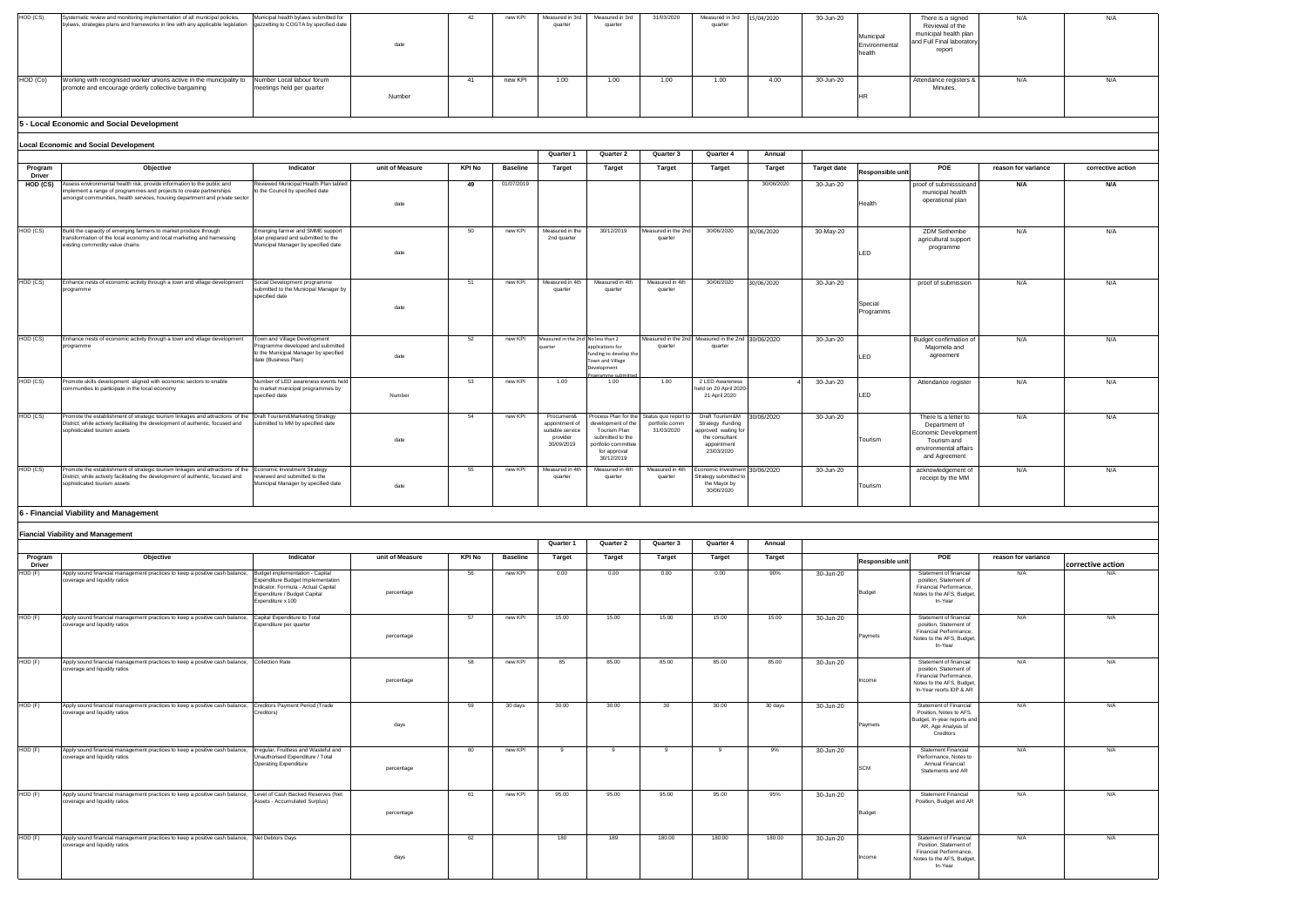| HOD (CS) | Systematic review and monitoring implementation of all municipal policies,<br>bylaws, strategies plans and frameworks in line with any applicable legislation gazzetting to COGTA by specified date | Municipal health bylaws submitted for                  | date   | new KPI | Measured in 3rd<br>quarter | Measured in 3rd<br>quarter | 31/03/2020 | Measured in 3rd<br>quarter | 15/04/2020 | 30-Jun-20 | Municipal<br>Environmenta<br>health | There is a signed<br>Reviewal of the<br>municipal health plan<br>and Full Final laboratory<br>report |
|----------|-----------------------------------------------------------------------------------------------------------------------------------------------------------------------------------------------------|--------------------------------------------------------|--------|---------|----------------------------|----------------------------|------------|----------------------------|------------|-----------|-------------------------------------|------------------------------------------------------------------------------------------------------|
| HOD (Co) | Working with recognised worker unions active in the municipality to<br>promote and encourage orderly collective bargaining                                                                          | Number Local labour forum<br>meetings held per quarter | Number | new KPI | 1.00                       | 1.00                       | 1.00       | 1.00                       | 4.00       | 30-Jun-20 |                                     | Attendance registers &<br>Minutes.                                                                   |

| There is a signed<br>Reviewal of the<br>nunicipal health plan<br>d Full Final laboratory<br>report                               | N/A                 | N/A               |
|----------------------------------------------------------------------------------------------------------------------------------|---------------------|-------------------|
| ttendance registers &<br>Minutes.                                                                                                | N/A                 | N/A               |
|                                                                                                                                  |                     |                   |
|                                                                                                                                  |                     |                   |
| POE                                                                                                                              | reason for variance | corrective action |
| roof of submisssioand<br>municipal health<br>operational plan                                                                    | N/A                 | N/A               |
| ZDM Sethembe<br>agricultural support<br>programme                                                                                | N/A                 | N/A               |
| proof of submission                                                                                                              | N/A                 | N/A               |
| udget confirmation of<br>Majomela and<br>agreement                                                                               | N/A                 | N/A               |
| Attendance register                                                                                                              | N/A                 | N/A               |
| There Is a letter to<br>Department of<br>conomic Development<br>Tourism and<br>environmental affairs<br>and Agreement            | N/A                 | N/A               |
| acknowledgement of<br>receipt by the MM                                                                                          | N/A                 | N/A               |
|                                                                                                                                  |                     |                   |
|                                                                                                                                  |                     |                   |
|                                                                                                                                  |                     |                   |
| POE                                                                                                                              | reason for variance |                   |
|                                                                                                                                  |                     | corrective action |
| Statement of financial<br>position, Statement of<br>Financial Performance,<br>otes to the AFS, Budget,<br>In-Year                | N/A                 | N/A               |
| Statement of financial<br>position, Statement of<br>Financial Performance,<br>otes to the AFS, Budget,<br>In-Year                | N/A                 | N/A               |
| Statement of financial<br>position, Statement of<br>Financial Performance,<br>otes to the AFS, Budget,<br>n-Year reorts IDP & AR | N/A                 | N/A               |
| Statement of Financial<br>Position, Notes to AFS,<br>idget, In-year reports and<br>AR, Age Analysis of<br>Creditors              | N/A                 | N/A               |
| Statement Financial<br>Performance, Notes to<br>Annual Financial<br>Statements and AR                                            | N/A                 | N/A               |
| <b>Statement Financial</b><br>Position, Budget and AR                                                                            | N/A                 | N/A               |
| Statement of Financial<br>Position, Statement of<br>Financial Performance,<br>otes to the AFS, Budget,<br>In-Year                | N/A                 | N/A               |
|                                                                                                                                  |                     |                   |

|                   | <b>Local Economic and Social Development</b>                                                                                                                                                                                         |                                                                                                                                    |                 |        |                 |                                                                            |                                                                                                            |                                                                           |                                                                                                                       |               |                    |                      |                                                                                                                       |                     |                   |
|-------------------|--------------------------------------------------------------------------------------------------------------------------------------------------------------------------------------------------------------------------------------|------------------------------------------------------------------------------------------------------------------------------------|-----------------|--------|-----------------|----------------------------------------------------------------------------|------------------------------------------------------------------------------------------------------------|---------------------------------------------------------------------------|-----------------------------------------------------------------------------------------------------------------------|---------------|--------------------|----------------------|-----------------------------------------------------------------------------------------------------------------------|---------------------|-------------------|
|                   |                                                                                                                                                                                                                                      |                                                                                                                                    |                 |        |                 | Quarter 1                                                                  | Quarter 2                                                                                                  | Quarter 3                                                                 | Quarter 4                                                                                                             | Annual        |                    |                      |                                                                                                                       |                     |                   |
| Program<br>Driver | Objective                                                                                                                                                                                                                            | Indicator                                                                                                                          | unit of Measure | KPI No | <b>Baseline</b> | <b>Target</b>                                                              | Target                                                                                                     | Target                                                                    | <b>Target</b>                                                                                                         | <b>Target</b> | <b>Target date</b> | Responsible unit     | <b>POE</b>                                                                                                            | reason for variance | corrective action |
| HOD (CS)          | ssess environmental health risk, provide information to the public and<br>mplement a range of programmes and projects to create partnerships<br>amongst communities, health services, housing department and private sector          | Reviewed Municipal Health Plan tabled<br>to the Council by specified date                                                          | date            | 49     | 01/07/2019      |                                                                            |                                                                                                            |                                                                           |                                                                                                                       | 30/06/2020    | 30-Jun-20          | Health               | proof of submisssioand<br>municipal health<br>operational plan                                                        | N/A                 | N/A               |
| HOD (CS)          | Build the capacity of emerging farmers to market produce through<br>transformation of the local economy and local marketing and harnessing<br>existing commodity value chains                                                        | Emerging farmer and SMME support<br>plan prepared and submitted to the<br>Municipal Manager by specified date                      | date            | 50     | new KPI         | Measured in the<br>2nd quarter                                             | 30/12/2019                                                                                                 | Measured in the 2n<br>quarter                                             | 30/06/2020                                                                                                            | 30/06/2020    | 30-May-20          | LED                  | ZDM Sethembe<br>agricultural support<br>programme                                                                     | N/A                 | N/A               |
| HOD (CS)          | Inhance nests of economic activity through a town and village development<br>programme                                                                                                                                               | Social Development programme<br>submitted to the Municipal Manager by<br>specified date                                            | date            | 51     | new KPI         | Measured in 4th<br>quarter                                                 | Measured in 4th<br>quarter                                                                                 | Measured in 4th<br>quarter                                                | 30/06/2020                                                                                                            | 30/06/2020    | 30-Jun-20          | Special<br>Programms | proof of submission                                                                                                   | N/A                 | N/A               |
| HOD (CS)          | Enhance nests of economic activity through a town and village development<br>programme                                                                                                                                               | Town and Village Development<br>Programme developed and submitted<br>to the Municipal Manager by specified<br>date (Business Plan) | date            | 52     | new KPI         | Measured in the 2nd No less than 2<br>quarter                              | pplications for<br>funding to develop the<br>own and Village<br>Development<br>gramme submitter            | Measured in the 2n<br>quarter                                             | Measured in the 2nd 30/06/2020<br>quarter                                                                             |               | 30-Jun-20          | LED                  | Budget confirmation of<br>Majomela and<br>agreement                                                                   | N/A                 | N/A               |
| HOD (CS)          | Promote skills development aligned with economic sectors to enable<br>communities to participate in the local economy                                                                                                                | Number of LED awareness events held<br>to market municipal programmes by<br>specified date                                         | Number          | 53     | new KPI         | 1.00                                                                       | 1.00                                                                                                       | 1.00                                                                      | 2 LED Awareness<br>held on 20 April 2020<br>21 April 2020                                                             |               | 30-Jun-20          | LED                  | Attendance register                                                                                                   | N/A                 | N/A               |
| HOD (CS)          | Promote the establishment of strategic tourism linkages and attractions of the   Draft Tourism&Marketing Strategy<br>District, while actively facilitating the development of authentic, focused and<br>sophisticated tourism assets | submitted to MM by specified date                                                                                                  | date            | 54     | new KPI         | Procument&<br>appointment of<br>suitable service<br>provider<br>30/09/2019 | development of the<br>Tourism Plan<br>submitted to the<br>ortfolio committee<br>for approval<br>30/12/2019 | Process Plan for the Status quo report to<br>portfolio comm<br>31/03/2020 | Draft Tourism&M 30/06/2020<br>Strategy /funding<br>pproved waiting for<br>the consultant<br>appointment<br>23/03/2020 |               | 30-Jun-20          | Tourism              | There Is a letter to<br>Department of<br>Economic Developmen<br>Tourism and<br>environmental affairs<br>and Agreement | N/A                 | N/A               |
| HOD (CS)          | Promote the establishment of strategic tourism linkages and attractions of the<br>District, while actively facilitating the development of authentic, focused and<br>sophisticated tourism assets                                    | Economic Investment Strategy<br>reviewed and submitted to the<br>Municipal Manager by specified date                               | date            | 55     | new KPI         | Measured in 4th<br>quarter                                                 | Measured in 4th<br>quarter                                                                                 | Measured in 4th<br>quarter                                                | conomic Investment 30/06/2020<br>Strategy submitted to<br>the Mayor by<br>30/06/2020                                  |               | 30-Jun-20          | Tourism              | acknowledgement of<br>receipt by the MM                                                                               | N/A                 | N/A               |

## **5 - Local Economic and Social Development**

|                          | <b>Fiancial Viability and Management</b>                                                                                                  |                                                                                                                                                                  |                 |               |                 |               |              |           |              |         |           |                  |                                                                                                                                    |                     |
|--------------------------|-------------------------------------------------------------------------------------------------------------------------------------------|------------------------------------------------------------------------------------------------------------------------------------------------------------------|-----------------|---------------|-----------------|---------------|--------------|-----------|--------------|---------|-----------|------------------|------------------------------------------------------------------------------------------------------------------------------------|---------------------|
|                          |                                                                                                                                           |                                                                                                                                                                  |                 |               |                 | Quarter 1     | Quarter 2    | Quarter 3 | Quarter 4    | Annual  |           |                  |                                                                                                                                    |                     |
| Program<br><b>Driver</b> | Objective                                                                                                                                 | Indicator                                                                                                                                                        | unit of Measure | <b>KPI No</b> | <b>Baseline</b> | <b>Target</b> | Target       | Target    | Target       | Target  |           | Responsible unit | POE                                                                                                                                | reason for variance |
| HOD (F)                  | Apply sound financial management practices to keep a positive cash balance,<br>coverage and liquidity ratios                              | Budget implementation - Capital<br>Expenditure Budget Implementation<br>Indicator. Formula - Actual Capital<br>Expenditure / Budget Capital<br>Expenditure x 100 | percentage      | 56            | new KPI         | 0.00          | 0.00         | 0.00      | 0.00         | 90%     | 30-Jun-20 | <b>Budget</b>    | Statement of financial<br>position. Statement of<br>Financial Performance,<br>Notes to the AFS, Budget,<br>In-Year                 | N/A                 |
| $HOD$ $(F)$              | Apply sound financial management practices to keep a positive cash balance, Capital Expenditure to Total<br>coverage and liquidity ratios | Expenditure per quarter                                                                                                                                          | percentage      | 57            | new KPI         | 15.00         | 15.00        | 15.00     | 15.00        | 15.00   | 30-Jun-20 | Paymets          | Statement of financial<br>position, Statement of<br>Financial Performance,<br>Notes to the AFS, Budget,<br>In-Year                 | N/A                 |
| HOD (F)                  | Apply sound financial management practices to keep a positive cash balance,<br>coverage and liquidity ratios                              | Collection Rate                                                                                                                                                  | percentage      | 58            | new KPI         | 85            | 85.00        | 85.00     | 85.00        | 85.00   | 30-Jun-20 | Income           | Statement of financial<br>position, Statement of<br>Financial Performance,<br>Notes to the AFS, Budget,<br>In-Year reorts IDP & AR | N/A                 |
| $HOD$ $(F)$              | Apply sound financial management practices to keep a positive cash balance,<br>coverage and liquidity ratios                              | Creditors Payment Period (Trade<br>Creditors)                                                                                                                    | days            | 59            | 30 days         | 30.00         | 30.00        | 30        | 30.00        | 30 days | 30-Jun-20 | Paymets          | Statement of Financial<br>Position, Notes to AFS,<br>Budget, In-year reports and<br>AR, Age Analysis of<br>Creditors               | N/A                 |
| $HOD$ $(F)$              | Apply sound financial management practices to keep a positive cash balance,<br>coverage and liquidity ratios                              | Irregular, Fruitless and Wasteful and<br>Unauthorised Expenditure / Total<br>Operating Expenditure                                                               | percentage      | 60            | new KPI         | -9            | $\mathbf{q}$ |           | $\mathbf{Q}$ | 9%      | 30-Jun-20 | <b>SCM</b>       | Statement Financial<br>Performance, Notes to<br>Annual Financial<br>Statements and AR                                              | N/A                 |
| HOD (F)                  | Apply sound financial management practices to keep a positive cash balance,<br>coverage and liquidity ratios                              | Level of Cash Backed Reserves (Net<br>Assets - Accumulated Surplus)                                                                                              | percentage      | 61            | new KPI         | 95.00         | 95.00        | 95.00     | 95.00        | 95%     | 30-Jun-20 | <b>Budget</b>    | <b>Statement Financial</b><br>Position, Budget and AR                                                                              | N/A                 |
| HOD (F)                  | Apply sound financial management practices to keep a positive cash balance, Net Debtors Days<br>coverage and liquidity ratios             |                                                                                                                                                                  | days            | 62            |                 | 180           | 189          | 180.00    | 180.00       | 180.00  | 30-Jun-20 | Income           | Statement of Financial<br>Position, Statement of<br>Financial Performance,<br>Notes to the AFS, Budget,<br>In-Year                 | N/A                 |

### **6 - Financial Viability and Management**